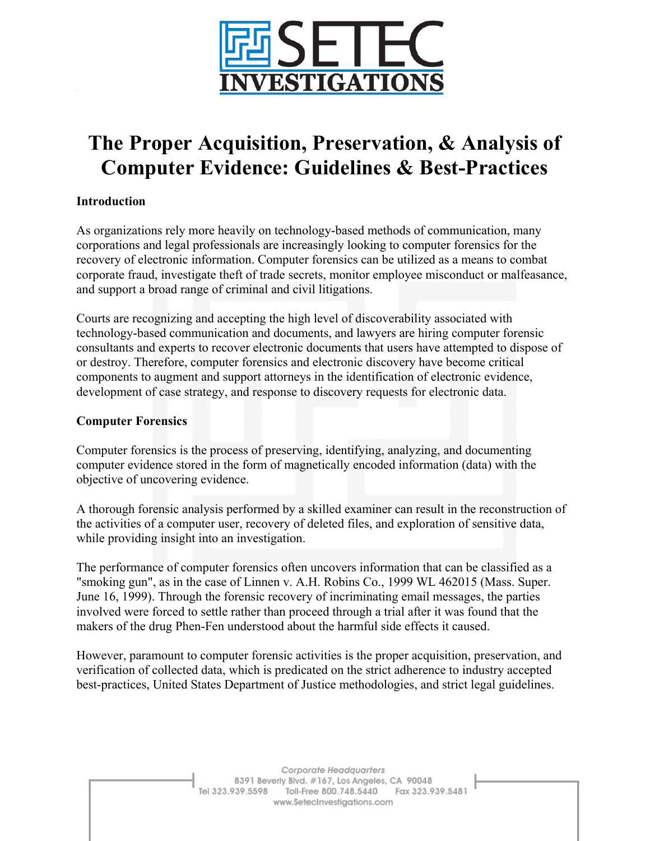

# **The Proper Acquisition, Preservation, & Analysis of Computer Evidence: Guidelines & Best-Practices**

# **Introduction**

As organizations rely more heavily on technology-based methods of communication, many corporations and legal professionals are increasingly looking to computer forensics for the recovery of electronic information. Computer forensics can be utilized as a means to combat corporate fraud, investigate theft of trade secrets, monitor employee misconduct or malfeasance, and support a broad range of criminal and civil litigations.

Courts are recognizing and accepting the high level of discoverability associated with technology-based communication and documents, and lawyers are hiring computer forensic consultants and experts to recover electronic documents that users have attempted to dispose of or destroy. Therefore, computer forensics and electronic discovery have become critical components to augment and support attorneys in the identification of electronic evidence, development of case strategy, and response to discovery requests for electronic data.

#### **Computer Forensics**

Computer forensics is the process of preserving, identifying, analyzing, and documenting computer evidence stored in the form of magnetically encoded information (data) with the objective of uncovering evidence.

A thorough forensic analysis performed by a skilled examiner can result in the reconstruction of the activities of a computer user, recovery of deleted files, and exploration of sensitive data, while providing insight into an investigation.

The performance of computer forensics often uncovers information that can be classified as a "smoking gun", as in the case of Linnen v. A.H. Robins Co., 1999 WL 462015 (Mass. Super. June 16, 1999). Through the forensic recovery of incriminating email messages, the parties involved were forced to settle rather than proceed through a trial after it was found that the makers of the drug Phen-Fen understood about the harmful side effects it caused.

However, paramount to computer forensic activities is the proper acquisition, preservation, and verification of collected data, which is predicated on the strict adherence to industry accepted best-practices, United States Department of Justice methodologies, and strict legal guidelines.

> Corporate Headquarters 8391 Beverly Blvd. #167, Los Angeles, CA 90048 Tel 323.939.5598 Toll-Free 800.748.5440 Fax 323.939.5481 www.SetecInvestigations.com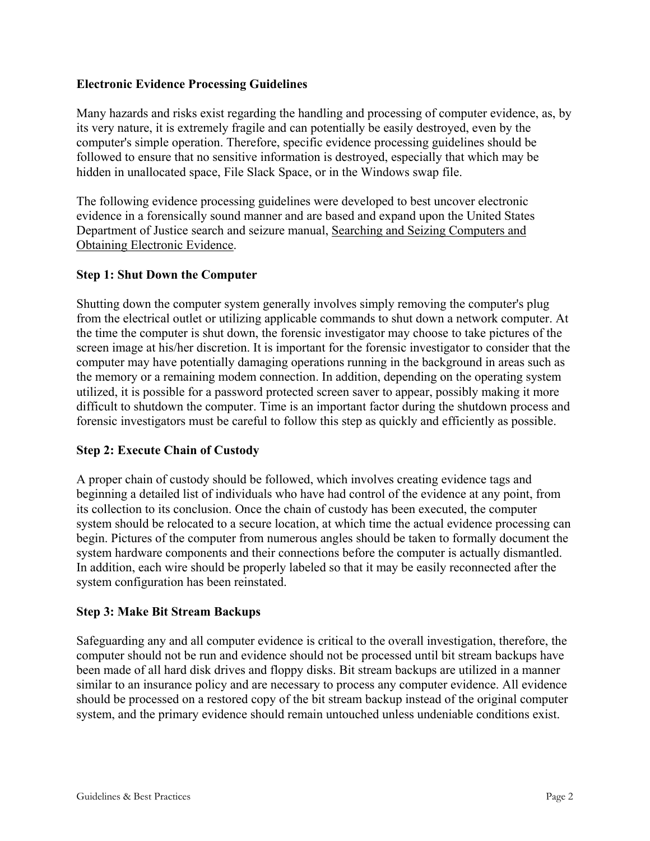# **Electronic Evidence Processing Guidelines**

Many hazards and risks exist regarding the handling and processing of computer evidence, as, by its very nature, it is extremely fragile and can potentially be easily destroyed, even by the computer's simple operation. Therefore, specific evidence processing guidelines should be followed to ensure that no sensitive information is destroyed, especially that which may be hidden in unallocated space, File Slack Space, or in the Windows swap file.

The following evidence processing guidelines were developed to best uncover electronic evidence in a forensically sound manner and are based and expand upon the United States Department of Justice search and seizure manual, Searching and Seizing Computers and Obtaining Electronic Evidence.

# **Step 1: Shut Down the Computer**

Shutting down the computer system generally involves simply removing the computer's plug from the electrical outlet or utilizing applicable commands to shut down a network computer. At the time the computer is shut down, the forensic investigator may choose to take pictures of the screen image at his/her discretion. It is important for the forensic investigator to consider that the computer may have potentially damaging operations running in the background in areas such as the memory or a remaining modem connection. In addition, depending on the operating system utilized, it is possible for a password protected screen saver to appear, possibly making it more difficult to shutdown the computer. Time is an important factor during the shutdown process and forensic investigators must be careful to follow this step as quickly and efficiently as possible.

#### **Step 2: Execute Chain of Custody**

A proper chain of custody should be followed, which involves creating evidence tags and beginning a detailed list of individuals who have had control of the evidence at any point, from its collection to its conclusion. Once the chain of custody has been executed, the computer system should be relocated to a secure location, at which time the actual evidence processing can begin. Pictures of the computer from numerous angles should be taken to formally document the system hardware components and their connections before the computer is actually dismantled. In addition, each wire should be properly labeled so that it may be easily reconnected after the system configuration has been reinstated.

#### **Step 3: Make Bit Stream Backups**

Safeguarding any and all computer evidence is critical to the overall investigation, therefore, the computer should not be run and evidence should not be processed until bit stream backups have been made of all hard disk drives and floppy disks. Bit stream backups are utilized in a manner similar to an insurance policy and are necessary to process any computer evidence. All evidence should be processed on a restored copy of the bit stream backup instead of the original computer system, and the primary evidence should remain untouched unless undeniable conditions exist.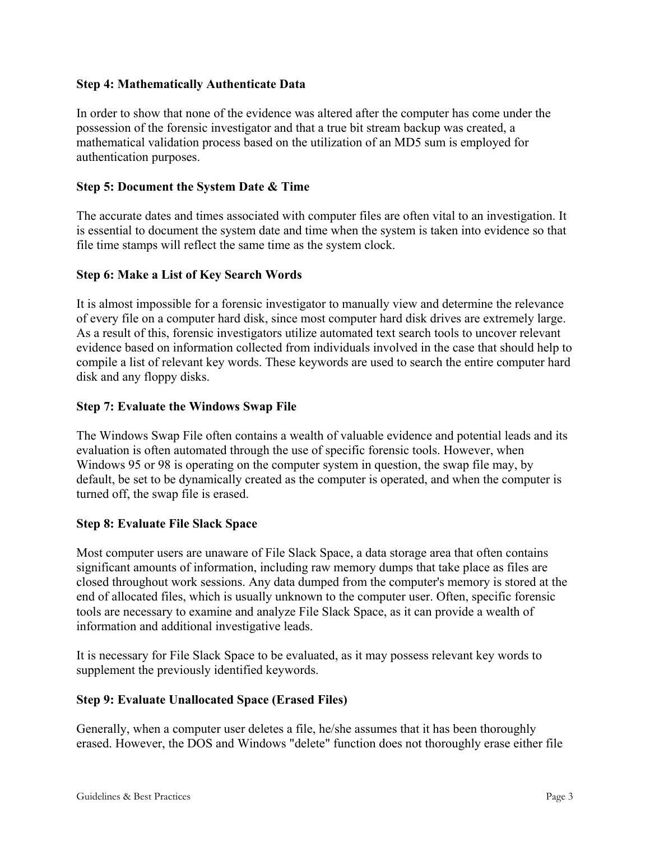# **Step 4: Mathematically Authenticate Data**

In order to show that none of the evidence was altered after the computer has come under the possession of the forensic investigator and that a true bit stream backup was created, a mathematical validation process based on the utilization of an MD5 sum is employed for authentication purposes.

# **Step 5: Document the System Date & Time**

The accurate dates and times associated with computer files are often vital to an investigation. It is essential to document the system date and time when the system is taken into evidence so that file time stamps will reflect the same time as the system clock.

# **Step 6: Make a List of Key Search Words**

It is almost impossible for a forensic investigator to manually view and determine the relevance of every file on a computer hard disk, since most computer hard disk drives are extremely large. As a result of this, forensic investigators utilize automated text search tools to uncover relevant evidence based on information collected from individuals involved in the case that should help to compile a list of relevant key words. These keywords are used to search the entire computer hard disk and any floppy disks.

# **Step 7: Evaluate the Windows Swap File**

The Windows Swap File often contains a wealth of valuable evidence and potential leads and its evaluation is often automated through the use of specific forensic tools. However, when Windows 95 or 98 is operating on the computer system in question, the swap file may, by default, be set to be dynamically created as the computer is operated, and when the computer is turned off, the swap file is erased.

#### **Step 8: Evaluate File Slack Space**

Most computer users are unaware of File Slack Space, a data storage area that often contains significant amounts of information, including raw memory dumps that take place as files are closed throughout work sessions. Any data dumped from the computer's memory is stored at the end of allocated files, which is usually unknown to the computer user. Often, specific forensic tools are necessary to examine and analyze File Slack Space, as it can provide a wealth of information and additional investigative leads.

It is necessary for File Slack Space to be evaluated, as it may possess relevant key words to supplement the previously identified keywords.

#### **Step 9: Evaluate Unallocated Space (Erased Files)**

Generally, when a computer user deletes a file, he/she assumes that it has been thoroughly erased. However, the DOS and Windows "delete" function does not thoroughly erase either file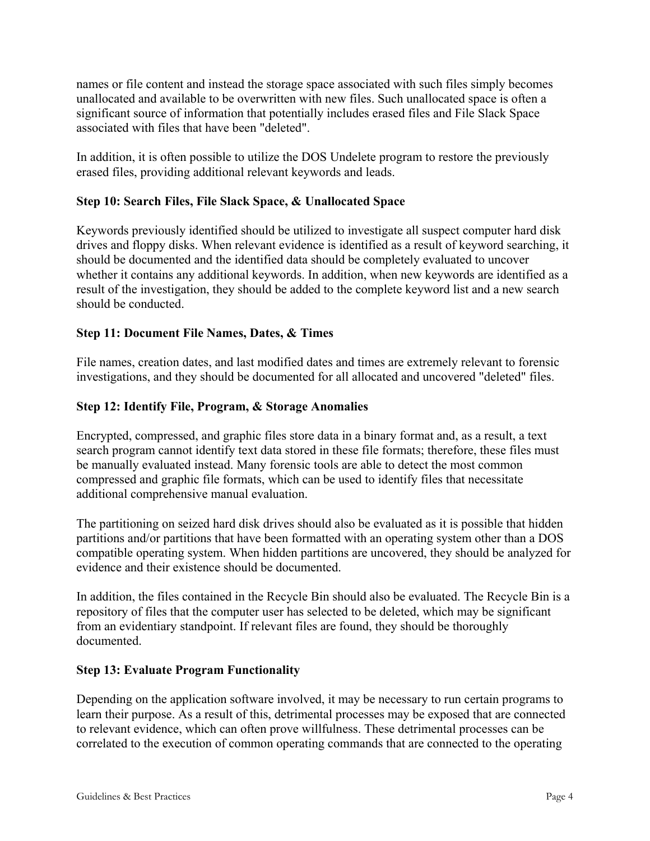names or file content and instead the storage space associated with such files simply becomes unallocated and available to be overwritten with new files. Such unallocated space is often a significant source of information that potentially includes erased files and File Slack Space associated with files that have been "deleted".

In addition, it is often possible to utilize the DOS Undelete program to restore the previously erased files, providing additional relevant keywords and leads.

# **Step 10: Search Files, File Slack Space, & Unallocated Space**

Keywords previously identified should be utilized to investigate all suspect computer hard disk drives and floppy disks. When relevant evidence is identified as a result of keyword searching, it should be documented and the identified data should be completely evaluated to uncover whether it contains any additional keywords. In addition, when new keywords are identified as a result of the investigation, they should be added to the complete keyword list and a new search should be conducted.

# **Step 11: Document File Names, Dates, & Times**

File names, creation dates, and last modified dates and times are extremely relevant to forensic investigations, and they should be documented for all allocated and uncovered "deleted" files.

# **Step 12: Identify File, Program, & Storage Anomalies**

Encrypted, compressed, and graphic files store data in a binary format and, as a result, a text search program cannot identify text data stored in these file formats; therefore, these files must be manually evaluated instead. Many forensic tools are able to detect the most common compressed and graphic file formats, which can be used to identify files that necessitate additional comprehensive manual evaluation.

The partitioning on seized hard disk drives should also be evaluated as it is possible that hidden partitions and/or partitions that have been formatted with an operating system other than a DOS compatible operating system. When hidden partitions are uncovered, they should be analyzed for evidence and their existence should be documented.

In addition, the files contained in the Recycle Bin should also be evaluated. The Recycle Bin is a repository of files that the computer user has selected to be deleted, which may be significant from an evidentiary standpoint. If relevant files are found, they should be thoroughly documented.

#### **Step 13: Evaluate Program Functionality**

Depending on the application software involved, it may be necessary to run certain programs to learn their purpose. As a result of this, detrimental processes may be exposed that are connected to relevant evidence, which can often prove willfulness. These detrimental processes can be correlated to the execution of common operating commands that are connected to the operating